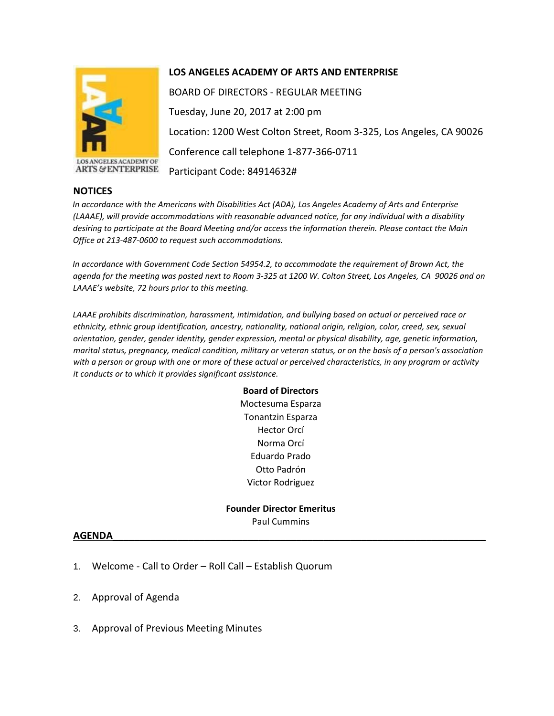

ANGELES ACADEMY OF **ARTS & ENTERPRISE** 

## **LOS ANGELES ACADEMY OF ARTS AND ENTERPRISE**

BOARD OF DIRECTORS - REGULAR MEETING Tuesday, June 20, 2017 at 2:00 pm Location: 1200 West Colton Street, Room 3-325, Los Angeles, CA 90026 Conference call telephone 1-877-366-0711 Participant Code: 84914632#

## **NOTICES**

*In accordance with the Americans with Disabilities Act (ADA), Los Angeles Academy of Arts and Enterprise (LAAAE), will provide accommodations with reasonable advanced notice, for any individual with a disability desiring to participate at the Board Meeting and/or access the information therein. Please contact the Main Office at 213-487-0600 to request such accommodations.* 

*In accordance with Government Code Section 54954.2, to accommodate the requirement of Brown Act, the agenda for the meeting was posted next to Room 3-325 at 1200 W. Colton Street, Los Angeles, CA 90026 and on LAAAE's website, 72 hours prior to this meeting.* 

*LAAAE prohibits discrimination, harassment, intimidation, and bullying based on actual or perceived race or ethnicity, ethnic group identification, ancestry, nationality, national origin, religion, color, creed, sex, sexual orientation, gender, gender identity, gender expression, mental or physical disability, age, genetic information, marital status, pregnancy, medical condition, military or veteran status, or on the basis of a person's association with a person or group with one or more of these actual or perceived characteristics, in any program or activity it conducts or to which it provides significant assistance.* 

> **Board of Directors** Moctesuma Esparza Tonantzin Esparza Hector Orcí Norma Orcí Eduardo Prado Otto Padrón Victor Rodriguez

**Founder Director Emeritus** Paul Cummins

## **AGENDA\_\_\_\_\_\_\_\_\_\_\_\_\_\_\_\_\_\_\_\_\_\_\_\_\_\_\_\_\_\_\_\_\_\_\_\_\_\_\_\_\_\_\_\_\_\_\_\_\_\_\_\_\_\_\_\_\_\_\_\_\_\_\_\_\_\_\_\_\_**

- 1. Welcome Call to Order Roll Call Establish Quorum
- 2. Approval of Agenda
- 3. Approval of Previous Meeting Minutes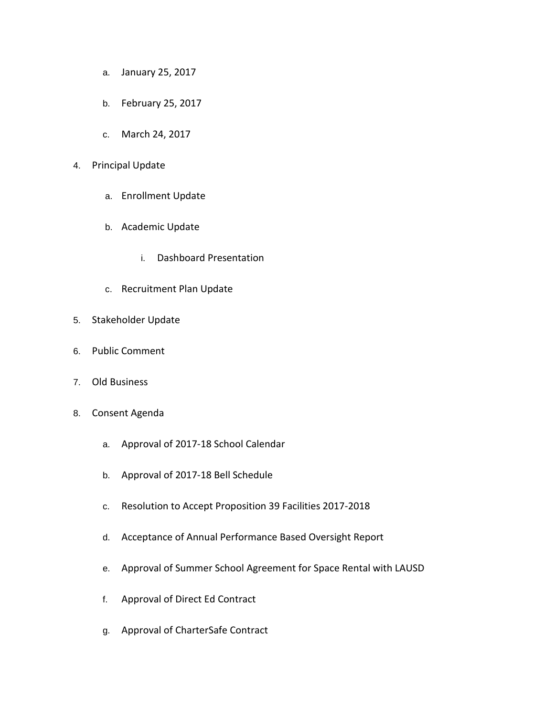- a. January 25, 2017
- b. February 25, 2017
- c. March 24, 2017
- 4. Principal Update
	- a. Enrollment Update
	- b. Academic Update
		- i. Dashboard Presentation
	- c. Recruitment Plan Update
- 5. Stakeholder Update
- 6. Public Comment
- 7. Old Business
- 8. Consent Agenda
	- a. Approval of 2017-18 School Calendar
	- b. Approval of 2017-18 Bell Schedule
	- c. Resolution to Accept Proposition 39 Facilities 2017-2018
	- d. Acceptance of Annual Performance Based Oversight Report
	- e. Approval of Summer School Agreement for Space Rental with LAUSD
	- f. Approval of Direct Ed Contract
	- g. Approval of CharterSafe Contract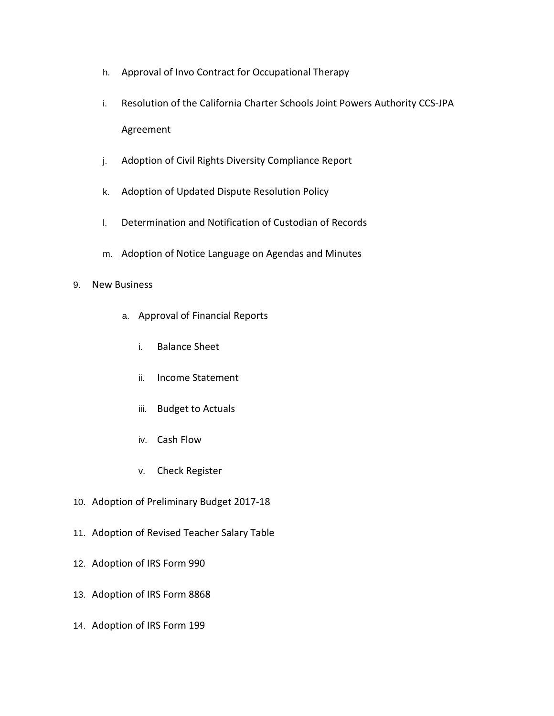- h. Approval of Invo Contract for Occupational Therapy
- i. Resolution of the California Charter Schools Joint Powers Authority CCS-JPA Agreement
- j. Adoption of Civil Rights Diversity Compliance Report
- k. Adoption of Updated Dispute Resolution Policy
- l. Determination and Notification of Custodian of Records
- m. Adoption of Notice Language on Agendas and Minutes

## 9. New Business

- a. Approval of Financial Reports
	- i. Balance Sheet
	- ii. Income Statement
	- iii. Budget to Actuals
	- iv. Cash Flow
	- v. Check Register
- 10. Adoption of Preliminary Budget 2017-18
- 11. Adoption of Revised Teacher Salary Table
- 12. Adoption of IRS Form 990
- 13. Adoption of IRS Form 8868
- 14. Adoption of IRS Form 199